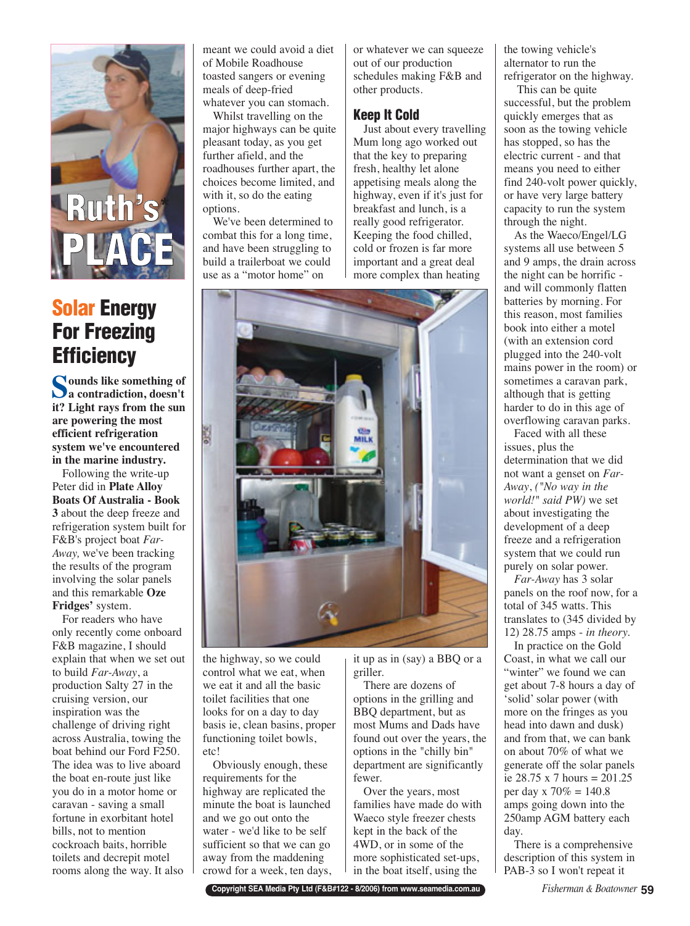

## **Solar Energy For Freezing Efficiency**

**Sounds like something of a contradiction, doesn't it? Light rays from the sun are powering the most efficient refrigeration system we've encountered in the marine industry.** 

Following the write-up Peter did in **Plate Alloy Boats Of Australia - Book 3** about the deep freeze and refrigeration system built for F&B's project boat *Far-Away,* we've been tracking the results of the program involving the solar panels and this remarkable **Oze Fridges'** system.

For readers who have only recently come onboard F&B magazine, I should explain that when we set out to build *Far-Away*, a production Salty 27 in the cruising version, our inspiration was the challenge of driving right across Australia, towing the boat behind our Ford F250. The idea was to live aboard the boat en-route just like you do in a motor home or caravan - saving a small fortune in exorbitant hotel bills, not to mention cockroach baits, horrible toilets and decrepit motel rooms along the way. It also meant we could avoid a diet of Mobile Roadhouse toasted sangers or evening meals of deep-fried whatever you can stomach.

Whilst travelling on the major highways can be quite pleasant today, as you get further afield, and the roadhouses further apart, the choices become limited, and with it, so do the eating options.

We've been determined to combat this for a long time, and have been struggling to build a trailerboat we could use as a "motor home" on

or whatever we can squeeze out of our production schedules making F&B and other products.

## **Keep It Cold**

Just about every travelling Mum long ago worked out that the key to preparing fresh, healthy let alone appetising meals along the highway, even if it's just for breakfast and lunch, is a really good refrigerator. Keeping the food chilled, cold or frozen is far more important and a great deal more complex than heating



the highway, so we could control what we eat, when we eat it and all the basic toilet facilities that one looks for on a day to day basis ie, clean basins, proper functioning toilet bowls, etc!

Obviously enough, these requirements for the highway are replicated the minute the boat is launched and we go out onto the water - we'd like to be self sufficient so that we can go away from the maddening crowd for a week, ten days, it up as in (say) a BBQ or a griller.

There are dozens of options in the grilling and BBQ department, but as most Mums and Dads have found out over the years, the options in the "chilly bin" department are significantly fewer.

Over the years, most families have made do with Waeco style freezer chests kept in the back of the 4WD, or in some of the more sophisticated set-ups, in the boat itself, using the

the towing vehicle's alternator to run the refrigerator on the highway.

This can be quite successful, but the problem quickly emerges that as soon as the towing vehicle has stopped, so has the electric current - and that means you need to either find 240-volt power quickly, or have very large battery capacity to run the system through the night.

As the Waeco/Engel/LG systems all use between 5 and 9 amps, the drain across the night can be horrific and will commonly flatten batteries by morning. For this reason, most families book into either a motel (with an extension cord plugged into the 240-volt mains power in the room) or sometimes a caravan park, although that is getting harder to do in this age of overflowing caravan parks.

Faced with all these issues, plus the determination that we did not want a genset on *Far-Away*, *("No way in the world!" said PW)* we set about investigating the development of a deep freeze and a refrigeration system that we could run purely on solar power.

*Far-Away* has 3 solar panels on the roof now, for a total of 345 watts. This translates to (345 divided by 12) 28.75 amps - *in theory.*

In practice on the Gold Coast, in what we call our "winter" we found we can get about 7-8 hours a day of 'solid' solar power (with more on the fringes as you head into dawn and dusk) and from that, we can bank on about 70% of what we generate off the solar panels ie 28.75 x 7 hours = 201.25 per day x 70% = 140.8 amps going down into the 250amp AGM battery each day.

There is a comprehensive description of this system in PAB-3 so I won't repeat it